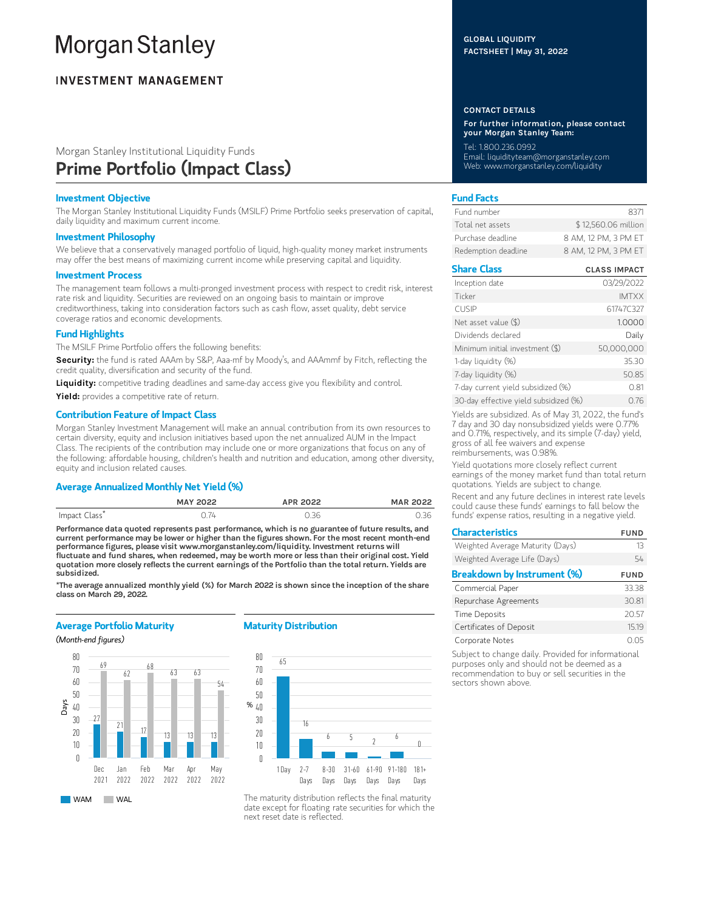# **Morgan Stanley**

# **INVESTMENT MANAGEMENT**

# Morgan Stanley Institutional Liquidity Funds Prime Portfolio (Impact Class)

# Investment Objective

The Morgan Stanley Institutional Liquidity Funds (MSILF) Prime Portfolio seeks preservation of capital, daily liquidity and maximum current income.

### Investment Philosophy

We believe that a conservatively managed portfolio of liquid, high-quality money market instruments may offer the best means of maximizing current income while preserving capital and liquidity.

#### Investment Process

The management team follows a multi-pronged investment process with respect to credit risk, interest rate risk and liquidity. Securities are reviewed on an ongoing basis to maintain or improve creditworthiness, taking into consideration factors such as cash flow, asset quality, debt service coverage ratios and economic developments.

## Fund Highlights

The MSILF Prime Portfolio offers the following benefits:

Security: the fund is rated AAAm by S&P, Aaa-mf by Moody's, and AAAmmf by Fitch, reflecting the credit quality, diversification and security of the fund.

Liquidity: competitive trading deadlines and same-day access give you flexibility and control.

Yield: provides a competitive rate of return.

# Contribution Feature of Impact Class

Morgan Stanley Investment Management will make an annual contribution from its own resources to certain diversity, equity and inclusion initiatives based upon the net annualized AUM in the Impact Class. The recipients of the contribution may include one or more organizations that focus on any of the following: affordable housing, children's health and nutrition and education, among other diversity, equity and inclusion related causes.

# Average Annualized Monthly Net Yield (%)

|               | <b>MAY 2022</b> | APR 2022 | <b>MAR 2022</b> |
|---------------|-----------------|----------|-----------------|
| Impact Class* | 2.74            | 0.36     | 0.36            |

Performance data quoted represents past performance, which is no guarantee of future results, and current performance may be lower or higher than the figures shown. For the most recent month-end performance figures, please visit www.morganstanley.com/liquidity. Investment returns will fluctuate and fund shares, when redeemed, may be worth more or less than their original cost. Yield quotation more closely reflects the current earnings of the Portfolio than the total return. Yields are subsidized.

\*The average annualized monthly yield (%) for March 2022 is shown since the inception of the share class on March 29, 2022.

# Average Portfolio Maturity

(Month-end figures)



# Maturity Distribution



The maturity distribution reflects the final maturity date except for floating rate securities for which the next reset date is reflected.

GLOBAL LIQUIDITY FACTSHEET | May 31, 2022

## CONTACT DETAILS

For further information, please contact your Morgan Stanley Team:

Tel: 1.800.236.0992 Email: liquidityteam@morganstanley.com Web: www.morganstanley.com/liquidity

# Fund Facts

| Fund number         | 8371                 |
|---------------------|----------------------|
| Total net assets    | \$12,560.06 million  |
| Purchase deadline   | 8 AM, 12 PM, 3 PM ET |
| Redemption deadline | 8 AM, 12 PM, 3 PM ET |

| <b>Share Class</b>                    | <b>CLASS IMPACT</b> |
|---------------------------------------|---------------------|
| Inception date                        | 03/29/2022          |
| Ticker                                | <b>IMTXX</b>        |
| <b>CUSIP</b>                          | 61747C327           |
| Net asset value $(\$)$                | 1.0000              |
| Dividends declared                    | Daily               |
| Minimum initial investment (\$)       | 50,000,000          |
| 1-day liquidity (%)                   | 35.30               |
| 7-day liquidity (%)                   | 50.85               |
| 7-day current yield subsidized (%)    | 0.81                |
| 30-day effective yield subsidized (%) | O 76                |

Yields are subsidized. As of May 31, 2022, the fund's 7 day and 30 day nonsubsidized yields were 0.77% and 0.71%, respectively, and its simple (7-day) yield, gross of all fee waivers and expense reimbursements, was 0.98%.

Yield quotations more closely reflect current earnings of the money market fund than total return quotations. Yields are subject to change.

Recent and any future declines in interest rate levels could cause these funds' earnings to fall below the funds' expense ratios, resulting in a negative yield.

| <b>Characteristics</b>             | <b>FUND</b> |
|------------------------------------|-------------|
| Weighted Average Maturity (Days)   | 13          |
| Weighted Average Life (Days)       | 54          |
| <b>Breakdown by Instrument (%)</b> | <b>FUND</b> |
| Commercial Paper                   | 33.38       |
| Repurchase Agreements              | 30.81       |
| <b>Time Deposits</b>               | 20.57       |
| Certificates of Deposit            | 1519        |
| Corporate Notes                    | N 05        |

Subject to change daily. Provided for informational purposes only and should not be deemed as a recommendation to buy or sell securities in the sectors shown above.